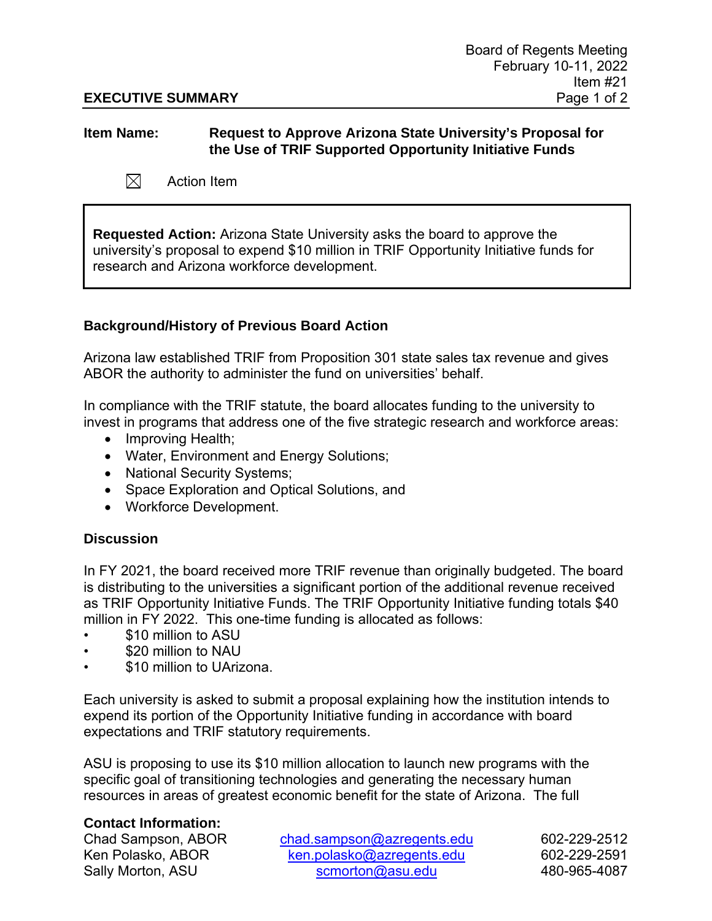## **EXECUTIVE SUMMARY** Page 1 of 2

## **Item Name: Request to Approve Arizona State University's Proposal for the Use of TRIF Supported Opportunity Initiative Funds**

 $\boxtimes$ Action Item

**Requested Action:** Arizona State University asks the board to approve the university's proposal to expend \$10 million in TRIF Opportunity Initiative funds for research and Arizona workforce development.

## **Background/History of Previous Board Action**

Arizona law established TRIF from Proposition 301 state sales tax revenue and gives ABOR the authority to administer the fund on universities' behalf.

In compliance with the TRIF statute, the board allocates funding to the university to invest in programs that address one of the five strategic research and workforce areas:

- Improving Health;
- Water, Environment and Energy Solutions;
- National Security Systems;
- Space Exploration and Optical Solutions, and
- Workforce Development.

## **Discussion**

In FY 2021, the board received more TRIF revenue than originally budgeted. The board is distributing to the universities a significant portion of the additional revenue received as TRIF Opportunity Initiative Funds. The TRIF Opportunity Initiative funding totals \$40 million in FY 2022. This one-time funding is allocated as follows:

- \$10 million to ASU
- \$20 million to NAU
- \$10 million to UArizona.

Each university is asked to submit a proposal explaining how the institution intends to expend its portion of the Opportunity Initiative funding in accordance with board expectations and TRIF statutory requirements.

ASU is proposing to use its \$10 million allocation to launch new programs with the specific goal of transitioning technologies and generating the necessary human resources in areas of greatest economic benefit for the state of Arizona. The full

## **Contact Information:**

Chad Sampson, ABOR [chad.sampson@azregents.edu](mailto:chad.sampson@azregents.edu) 602-229-2512 Ken Polasko, ABOR [ken.polasko@azregents.edu](mailto:ken.polasko@azregents.edu) 602-229-2591 Sally Morton, ASU [scmorton@asu.edu](mailto:scmorton@asu.edu) 480-965-4087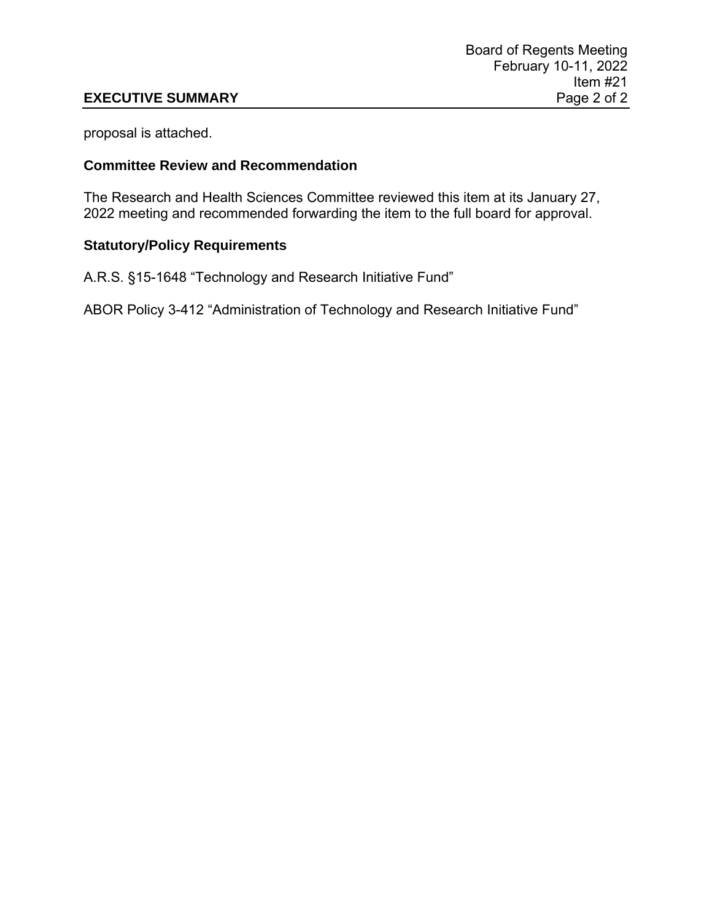## **EXECUTIVE SUMMARY**

proposal is attached.

## **Committee Review and Recommendation**

The Research and Health Sciences Committee reviewed this item at its January 27, 2022 meeting and recommended forwarding the item to the full board for approval.

# **Statutory/Policy Requirements**

A.R.S. §15-1648 "Technology and Research Initiative Fund"

ABOR Policy 3-412 "Administration of Technology and Research Initiative Fund"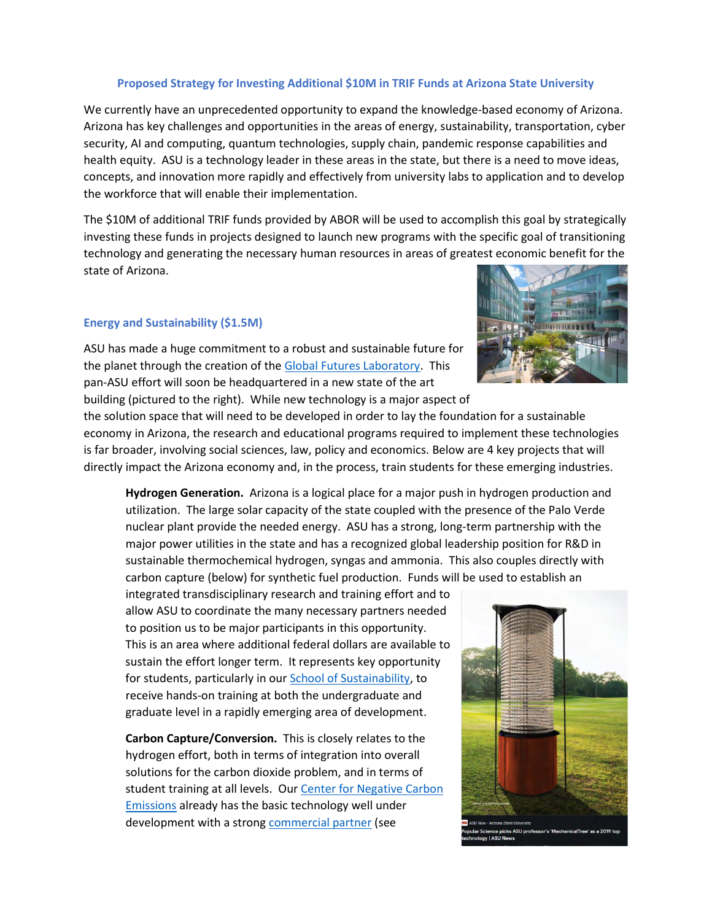## **Proposed Strategy for Investing Additional \$10M in TRIF Funds at Arizona State University**

We currently have an unprecedented opportunity to expand the knowledge-based economy of Arizona. Arizona has key challenges and opportunities in the areas of energy, sustainability, transportation, cyber security, AI and computing, quantum technologies, supply chain, pandemic response capabilities and health equity. ASU is a technology leader in these areas in the state, but there is a need to move ideas, concepts, and innovation more rapidly and effectively from university labs to application and to develop the workforce that will enable their implementation.

The \$10M of additional TRIF funds provided by ABOR will be used to accomplish this goal by strategically investing these funds in projects designed to launch new programs with the specific goal of transitioning technology and generating the necessary human resources in areas of greatest economic benefit for the state of Arizona.

### **Energy and Sustainability (\$1.5M)**

ASU has made a huge commitment to a robust and sustainable future for the planet through the creation of th[e Global Futures Laboratory.](https://globalfutures.asu.edu/) This pan-ASU effort will soon be headquartered in a new state of the art building (pictured to the right). While new technology is a major aspect of



the solution space that will need to be developed in order to lay the foundation for a sustainable economy in Arizona, the research and educational programs required to implement these technologies is far broader, involving social sciences, law, policy and economics. Below are 4 key projects that will directly impact the Arizona economy and, in the process, train students for these emerging industries.

**Hydrogen Generation.** Arizona is a logical place for a major push in hydrogen production and utilization. The large solar capacity of the state coupled with the presence of the Palo Verde nuclear plant provide the needed energy. ASU has a strong, long-term partnership with the major power utilities in the state and has a recognized global leadership position for R&D in sustainable thermochemical hydrogen, syngas and ammonia. This also couples directly with carbon capture (below) for synthetic fuel production. Funds will be used to establish an

integrated transdisciplinary research and training effort and to allow ASU to coordinate the many necessary partners needed to position us to be major participants in this opportunity. This is an area where additional federal dollars are available to sustain the effort longer term. It represents key opportunity for students, particularly in our [School of Sustainability,](https://schoolofsustainability.asu.edu/) to receive hands-on training at both the undergraduate and graduate level in a rapidly emerging area of development.

**Carbon Capture/Conversion.** This is closely relates to the hydrogen effort, both in terms of integration into overall solutions for the carbon dioxide problem, and in terms of student training at all levels. Ou[r Center for Negative Carbon](https://globalfutures.asu.edu/cnce/)  [Emissions](https://globalfutures.asu.edu/cnce/) already has the basic technology well under development with a strong [commercial partner](https://mechanicaltrees.com/) (see

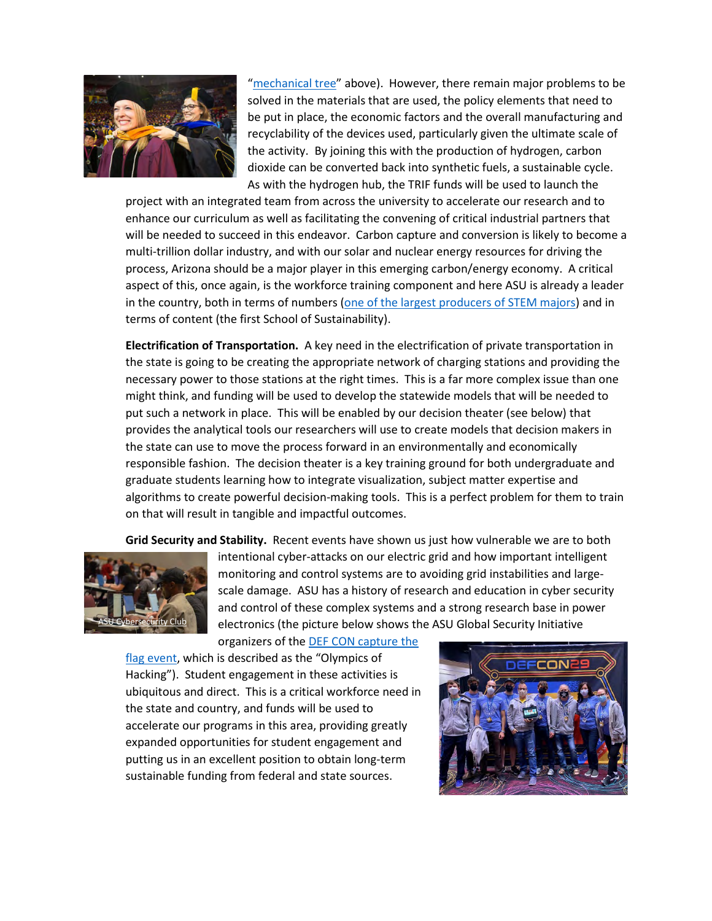

["mechanical tree"](https://news.asu.edu/20191205-popular-science-picks-lackner-mechanicaltree-2019-top-technology) above). However, there remain major problems to be solved in the materials that are used, the policy elements that need to be put in place, the economic factors and the overall manufacturing and recyclability of the devices used, particularly given the ultimate scale of the activity. By joining this with the production of hydrogen, carbon dioxide can be converted back into synthetic fuels, a sustainable cycle. As with the hydrogen hub, the TRIF funds will be used to launch the

project with an integrated team from across the university to accelerate our research and to enhance our curriculum as well as facilitating the convening of critical industrial partners that will be needed to succeed in this endeavor. Carbon capture and conversion is likely to become a multi-trillion dollar industry, and with our solar and nuclear energy resources for driving the process, Arizona should be a major player in this emerging carbon/energy economy. A critical aspect of this, once again, is the workforce training component and here ASU is already a leader in the country, both in terms of numbers [\(one of the largest producers of STEM majors\)](https://news.asu.edu/20210830-solutions-arizona-state-university-ranks-4th-nationally-undergrad-stem-degrees) and in terms of content (the first School of Sustainability).

**Electrification of Transportation.** A key need in the electrification of private transportation in the state is going to be creating the appropriate network of charging stations and providing the necessary power to those stations at the right times. This is a far more complex issue than one might think, and funding will be used to develop the statewide models that will be needed to put such a network in place. This will be enabled by our decision theater (see below) that provides the analytical tools our researchers will use to create models that decision makers in the state can use to move the process forward in an environmentally and economically responsible fashion. The decision theater is a key training ground for both undergraduate and graduate students learning how to integrate visualization, subject matter expertise and algorithms to create powerful decision-making tools. This is a perfect problem for them to train on that will result in tangible and impactful outcomes.

**Grid Security and Stability.** Recent events have shown us just how vulnerable we are to both



intentional cyber-attacks on our electric grid and how important intelligent monitoring and control systems are to avoiding grid instabilities and largescale damage. ASU has a history of research and education in cyber security and control of these complex systems and a strong research base in power electronics (the picture below shows the ASU Global Security Initiative

organizers of the [DEF CON capture the](https://news.asu.edu/20200804-asu-leads-new-research-center-power-electrical-grid) 

[flag event,](https://news.asu.edu/20200804-asu-leads-new-research-center-power-electrical-grid) which is described as the "Olympics of Hacking"). Student engagement in these activities is ubiquitous and direct. This is a critical workforce need in the state and country, and funds will be used to accelerate our programs in this area, providing greatly expanded opportunities for student engagement and putting us in an excellent position to obtain long-term sustainable funding from federal and state sources.

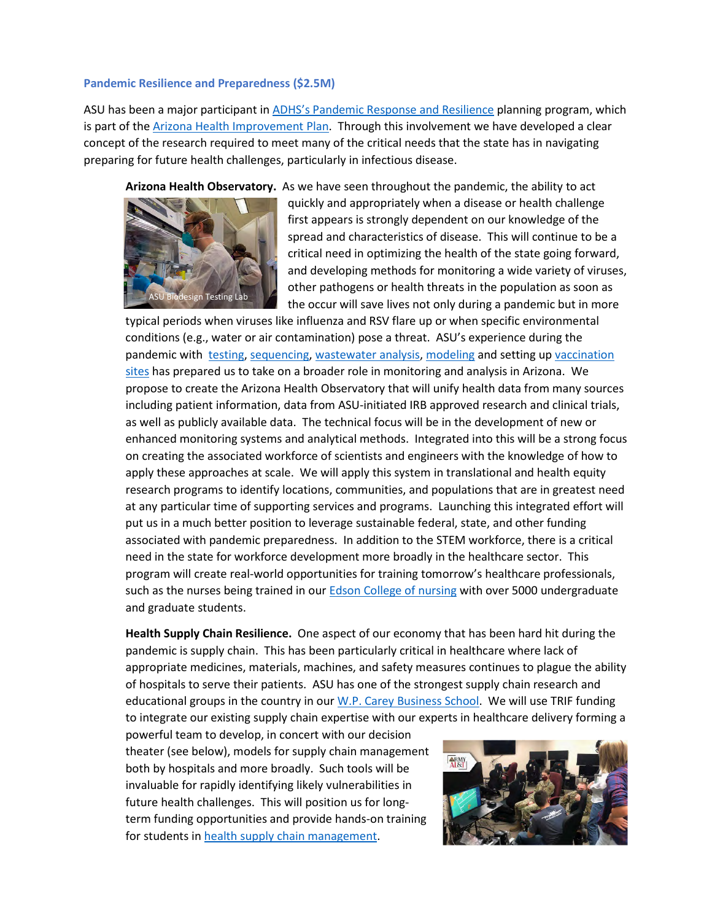### **Pandemic Resilience and Preparedness (\$2.5M)**

ASU has been a major participant in [ADHS's Pandemic Response and Resilience](https://www.azdhs.gov/documents/operations/managing-excellence/pandemic-recovery.pdf) planning program, which is part of the **Arizona Health Improvement Plan**. Through this involvement we have developed a clear concept of the research required to meet many of the critical needs that the state has in navigating preparing for future health challenges, particularly in infectious disease.

**Arizona Health Observatory.** As we have seen throughout the pandemic, the ability to act



quickly and appropriately when a disease or health challenge first appears is strongly dependent on our knowledge of the spread and characteristics of disease. This will continue to be a critical need in optimizing the health of the state going forward, and developing methods for monitoring a wide variety of viruses, other pathogens or health threats in the population as soon as the occur will save lives not only during a pandemic but in more

typical periods when viruses like influenza and RSV flare up or when specific environmental conditions (e.g., water or air contamination) pose a threat. ASU's experience during the pandemic with [testing,](https://cronkitenews.azpbs.org/2020/07/06/asu-researchers-covid19-test-saliva/) [sequencing,](https://news.asu.edu/20200505-asu-scientific-team-finds-new-unique-mutation-coronavirus-study) [wastewater analysis,](https://chs.asu.edu/diagnostics-commons/blog/wastewater-testing-covid-19-hot-spot-detection) [modeling](https://biodesign.asu.edu/news/model-behavior) and setting up [vaccination](https://news.asu.edu/20210202-arizona-impact-new-vaccination-site-asu-stadium-increase-capacity)  [sites](https://news.asu.edu/20210202-arizona-impact-new-vaccination-site-asu-stadium-increase-capacity) has prepared us to take on a broader role in monitoring and analysis in Arizona. We propose to create the Arizona Health Observatory that will unify health data from many sources including patient information, data from ASU-initiated IRB approved research and clinical trials, as well as publicly available data. The technical focus will be in the development of new or enhanced monitoring systems and analytical methods. Integrated into this will be a strong focus on creating the associated workforce of scientists and engineers with the knowledge of how to apply these approaches at scale. We will apply this system in translational and health equity research programs to identify locations, communities, and populations that are in greatest need at any particular time of supporting services and programs. Launching this integrated effort will put us in a much better position to leverage sustainable federal, state, and other funding associated with pandemic preparedness. In addition to the STEM workforce, there is a critical need in the state for workforce development more broadly in the healthcare sector. This program will create real-world opportunities for training tomorrow's healthcare professionals, such as the nurses being trained in our [Edson College of](https://nursingandhealth.asu.edu/) nursing with over 5000 undergraduate and graduate students.

**Health Supply Chain Resilience.** One aspect of our economy that has been hard hit during the pandemic is supply chain. This has been particularly critical in healthcare where lack of appropriate medicines, materials, machines, and safety measures continues to plague the ability of hospitals to serve their patients. ASU has one of the strongest supply chain research and educational groups in the country in our [W.P. Carey Business School.](https://programs.wpcarey.asu.edu/) We will use TRIF funding to integrate our existing supply chain expertise with our experts in healthcare delivery forming a

powerful team to develop, in concert with our decision theater (see below), models for supply chain management both by hospitals and more broadly. Such tools will be invaluable for rapidly identifying likely vulnerabilities in future health challenges. This will position us for longterm funding opportunities and provide hands-on training for students i[n health supply chain management.](https://wpcarey.asu.edu/supply-chain-management-degrees)

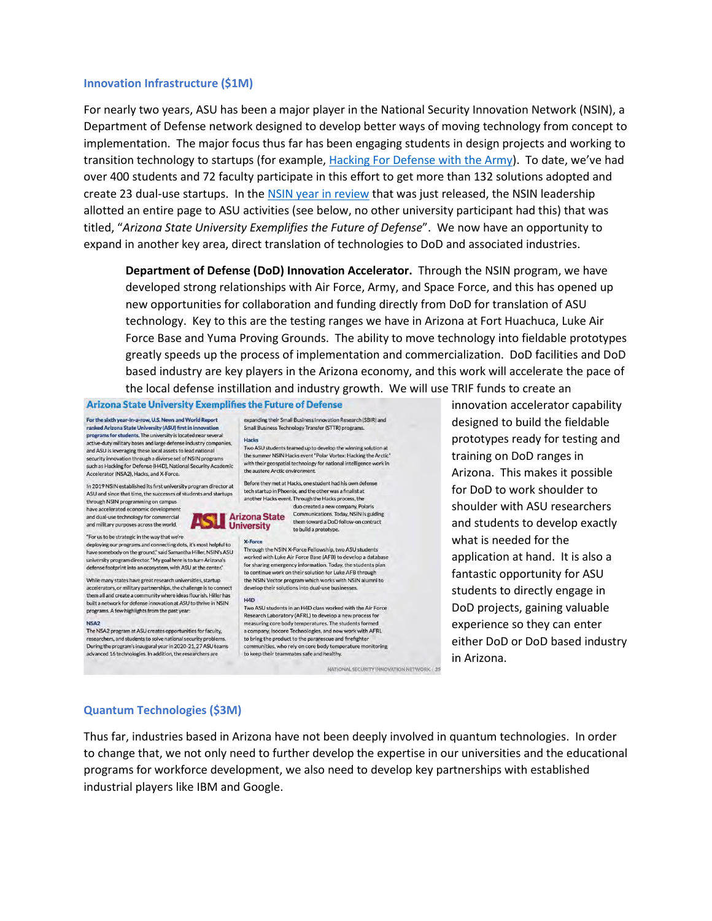#### **Innovation Infrastructure (\$1M)**

For nearly two years, ASU has been a major player in the National Security Innovation Network (NSIN), a Department of Defense network designed to develop better ways of moving technology from concept to implementation. The major focus thus far has been engaging students in design projects and working to transition technology to startups (for example, [Hacking For Defense with the Army\)](https://asc.army.mil/web/news-hacking-for-defense-turns-5/). To date, we've had over 400 students and 72 faculty participate in this effort to get more than 132 solutions adopted and create 23 dual-use startups. In the [NSIN year in review](https://www.nsin.mil/year-in-review-fy21/?utm_source=sendgrid.com&utm_medium=email&utm_campaign=website) that was just released, the NSIN leadership allotted an entire page to ASU activities (see below, no other university participant had this) that was titled, "*Arizona State University Exemplifies the Future of Defense*". We now have an opportunity to expand in another key area, direct translation of technologies to DoD and associated industries.

**Department of Defense (DoD) Innovation Accelerator.** Through the NSIN program, we have developed strong relationships with Air Force, Army, and Space Force, and this has opened up new opportunities for collaboration and funding directly from DoD for translation of ASU technology. Key to this are the testing ranges we have in Arizona at Fort Huachuca, Luke Air Force Base and Yuma Proving Grounds. The ability to move technology into fieldable prototypes greatly speeds up the process of implementation and commercialization. DoD facilities and DoD based industry are key players in the Arizona economy, and this work will accelerate the pace of the local defense instillation and industry growth. We will use TRIF funds to create an

#### **Arizona State University Exemplifies the Future of Defense**

For the sixth year-in-a-row, U.S. News and World Report ranked Arizona State University (ASU) first in innovation programs for students. The university is located near several active-duty military bases and large defense industry companies, and ASU is leveraging these local assets to lead national security innovation through a diverse set of NSIN programs such as Hacking for Defense (H4D), National Security Academic Accelerator (NSA2), Hacks, and X-Force.

In 2019 NSIN established its first university program director at ASU and since that time, the successes of students and startups

deploying our programs and connecting dots, it's most helpful to

university program director. "My goal here is to turn Arizona's

defense footprint into an ecosystem, with ASU at the center."

While many states have great research universities, startup

accelerators, or military partnerships, the challenge is to connect

them all and create a community where ideas flourish. Hiller has

built a network for defense innovation at ASU to thrive in NSIN

The NSA2 program at ASU creates opportunities for faculty,

researchers, and students to solve national security problems.

During the program's inaugural year in 2020-21, 27 ASU teams<br>advanced 16 technologies. In addition, the researchers are

programs. A few highlights from the past year

nebody on the ground," said Samantha Hiller, NSIN's ASU

through NSIN programming on campus have accelerated economic development and dual-use technology for commercial and military purposes across the world. "For us to be strategic in the way that we're

have sor

NSA<sub>2</sub>

duo created a new company, Polaris **Anizona State** Communications. Today, NSIN is guiding<br> **Sale University**<br> **Colu**lid a prototype. Communications. Today, NSIN is guiding to build a prototype.

expanding their Small Business Innovation Research (SBIR) and

Two ASU students teamed up to develop the winning solution at

the summer NSIN Hacks event "Polar Vortex: Hacking the Arctic"

with their geospatial technology for national intelligence work in

Before they met at Hacks, one student had his own defense

tech startup in Phoenix, and the other was a finalist at

another Hacks event. Through the Hacks process, the

Small Business Technology Transfer (STTR) programs.

the austere Arctic environment.

#### **X-Force**

Hacks

Through the NSIN X-Force Fellowship, two ASU students worked with Luke Air Force Base (AFB) to develop a database for sharing emergency information. Today, the students plan to continue work on their solution for Luke AFB through the NSIN Vector program which works with NSIN alumni to develop their solutions into dual-use businesses.

#### H<sub>4D</sub>

Two ASU students in an H4D class worked with the Air Force Research Laboratory (AFRL) to develop a new process for measuring core body temperatures. The students former a company, Isocore Technologies, and now work with AFRL to bring the product to the pararescue and firefighter communities, who rely on core body temperature monitoring to keep their teammates safe and healthy.

NATIONAL SECURITY INNOVATION NETWORK | 25

innovation accelerator capability designed to build the fieldable prototypes ready for testing and training on DoD ranges in Arizona. This makes it possible for DoD to work shoulder to shoulder with ASU researchers and students to develop exactly what is needed for the application at hand. It is also a fantastic opportunity for ASU students to directly engage in DoD projects, gaining valuable experience so they can enter either DoD or DoD based industry in Arizona.

### **Quantum Technologies (\$3M)**

Thus far, industries based in Arizona have not been deeply involved in quantum technologies. In order to change that, we not only need to further develop the expertise in our universities and the educational programs for workforce development, we also need to develop key partnerships with established industrial players like IBM and Google.